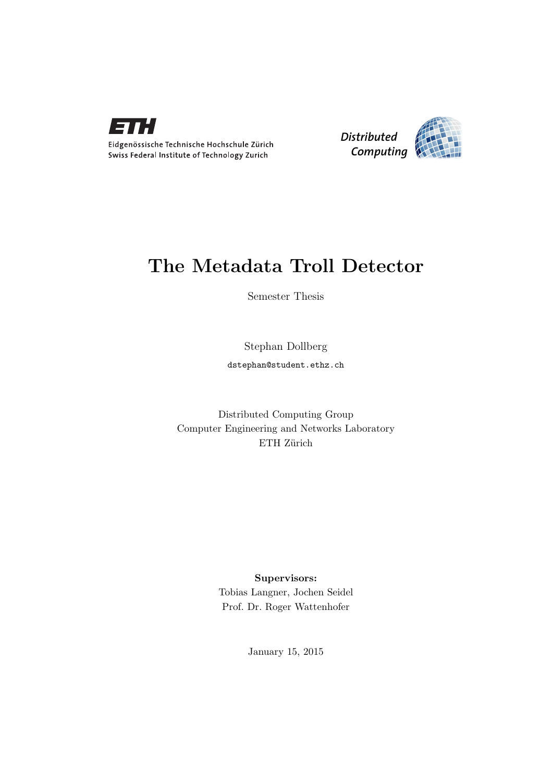



## The Metadata Troll Detector

Semester Thesis

Stephan Dollberg dstephan@student.ethz.ch

Distributed Computing Group Computer Engineering and Networks Laboratory ETH Zürich

> Supervisors: Tobias Langner, Jochen Seidel Prof. Dr. Roger Wattenhofer

> > January 15, 2015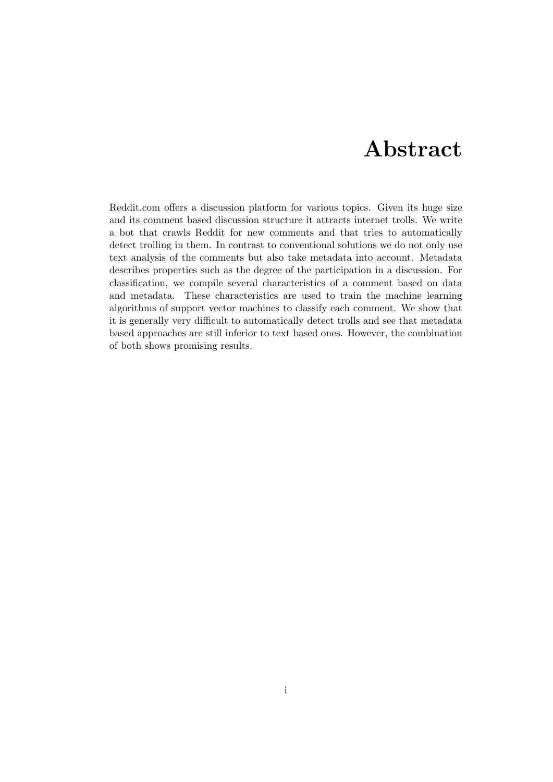## Abstract

<span id="page-1-0"></span>Reddit.com offers a discussion platform for various topics. Given its huge size and its comment based discussion structure it attracts internet trolls. We write a bot that crawls Reddit for new comments and that tries to automatically detect trolling in them. In contrast to conventional solutions we do not only use text analysis of the comments but also take metadata into account. Metadata describes properties such as the degree of the participation in a discussion. For classification, we compile several characteristics of a comment based on data and metadata. These characteristics are used to train the machine learning algorithms of support vector machines to classify each comment. We show that it is generally very difficult to automatically detect trolls and see that metadata based approaches are still inferior to text based ones. However, the combination of both shows promising results.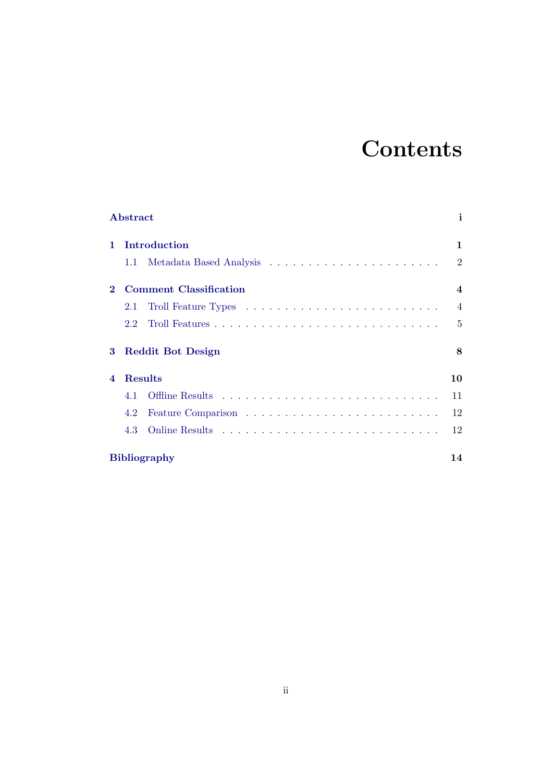# **Contents**

|                        | Abstract            |                               | i                       |  |
|------------------------|---------------------|-------------------------------|-------------------------|--|
| $\mathbf{1}$           | Introduction        |                               |                         |  |
|                        | 1.1                 |                               | $\overline{2}$          |  |
| $\mathbf 2$            |                     | <b>Comment Classification</b> | $\overline{\mathbf{4}}$ |  |
|                        | 2.1                 |                               | $\overline{4}$          |  |
|                        | 2.2                 |                               | $\overline{5}$          |  |
| 3                      |                     | <b>Reddit Bot Design</b>      | 8                       |  |
| $\boldsymbol{\Lambda}$ | Results             |                               | 10                      |  |
|                        | 4.1                 |                               | 11                      |  |
|                        | 4.2                 |                               | 12                      |  |
|                        | 4.3                 |                               | 12                      |  |
|                        | <b>Bibliography</b> |                               |                         |  |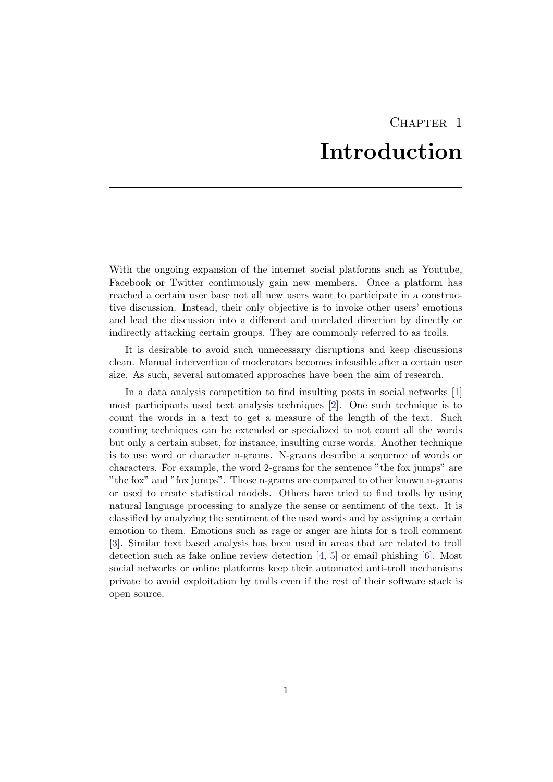# CHAPTER<sub>1</sub> Introduction

<span id="page-4-0"></span>With the ongoing expansion of the internet social platforms such as Youtube, Facebook or Twitter continuously gain new members. Once a platform has reached a certain user base not all new users want to participate in a constructive discussion. Instead, their only objective is to invoke other users' emotions and lead the discussion into a different and unrelated direction by directly or indirectly attacking certain groups. They are commonly referred to as trolls.

It is desirable to avoid such unnecessary disruptions and keep discussions clean. Manual intervention of moderators becomes infeasible after a certain user size. As such, several automated approaches have been the aim of research.

In a data analysis competition to find insulting posts in social networks [\[1\]](#page-17-1) most participants used text analysis techniques [\[2\]](#page-17-2). One such technique is to count the words in a text to get a measure of the length of the text. Such counting techniques can be extended or specialized to not count all the words but only a certain subset, for instance, insulting curse words. Another technique is to use word or character n-grams. N-grams describe a sequence of words or characters. For example, the word 2-grams for the sentence "the fox jumps" are "the fox" and "fox jumps". Those n-grams are compared to other known n-grams or used to create statistical models. Others have tried to find trolls by using natural language processing to analyze the sense or sentiment of the text. It is classified by analyzing the sentiment of the used words and by assigning a certain emotion to them. Emotions such as rage or anger are hints for a troll comment [\[3\]](#page-17-3). Similar text based analysis has been used in areas that are related to troll detection such as fake online review detection [\[4,](#page-17-4) [5\]](#page-17-5) or email phishing [\[6\]](#page-17-6). Most social networks or online platforms keep their automated anti-troll mechanisms private to avoid exploitation by trolls even if the rest of their software stack is open source.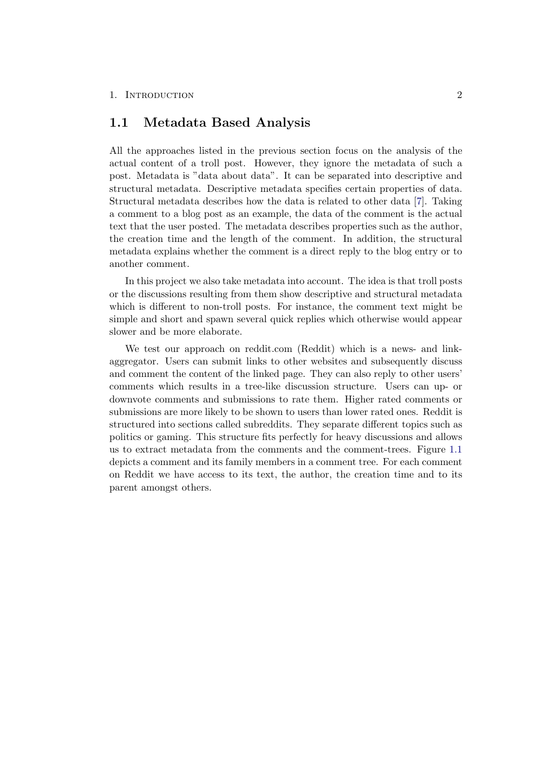### <span id="page-5-0"></span>1.1 Metadata Based Analysis

All the approaches listed in the previous section focus on the analysis of the actual content of a troll post. However, they ignore the metadata of such a post. Metadata is "data about data". It can be separated into descriptive and structural metadata. Descriptive metadata specifies certain properties of data. Structural metadata describes how the data is related to other data [\[7\]](#page-17-7). Taking a comment to a blog post as an example, the data of the comment is the actual text that the user posted. The metadata describes properties such as the author, the creation time and the length of the comment. In addition, the structural metadata explains whether the comment is a direct reply to the blog entry or to another comment.

In this project we also take metadata into account. The idea is that troll posts or the discussions resulting from them show descriptive and structural metadata which is different to non-troll posts. For instance, the comment text might be simple and short and spawn several quick replies which otherwise would appear slower and be more elaborate.

We test our approach on reddit.com (Reddit) which is a news- and linkaggregator. Users can submit links to other websites and subsequently discuss and comment the content of the linked page. They can also reply to other users' comments which results in a tree-like discussion structure. Users can up- or downvote comments and submissions to rate them. Higher rated comments or submissions are more likely to be shown to users than lower rated ones. Reddit is structured into sections called subreddits. They separate different topics such as politics or gaming. This structure fits perfectly for heavy discussions and allows us to extract metadata from the comments and the comment-trees. Figure [1.1](#page-6-0) depicts a comment and its family members in a comment tree. For each comment on Reddit we have access to its text, the author, the creation time and to its parent amongst others.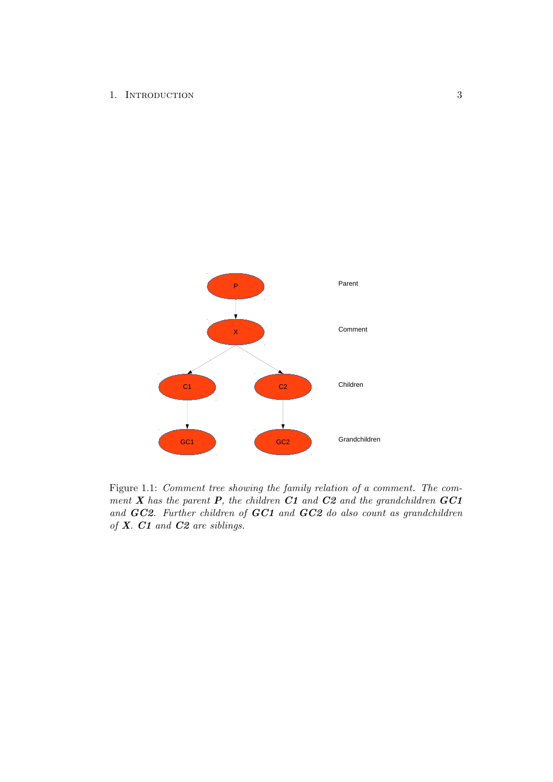1. INTRODUCTION 3

<span id="page-6-0"></span>

Figure 1.1: Comment tree showing the family relation of a comment. The comment  $X$  has the parent  $P$ , the children  $C1$  and  $C2$  and the grandchildren  $GC1$ and GC2. Further children of GC1 and GC2 do also count as grandchildren of X. C1 and C2 are siblings.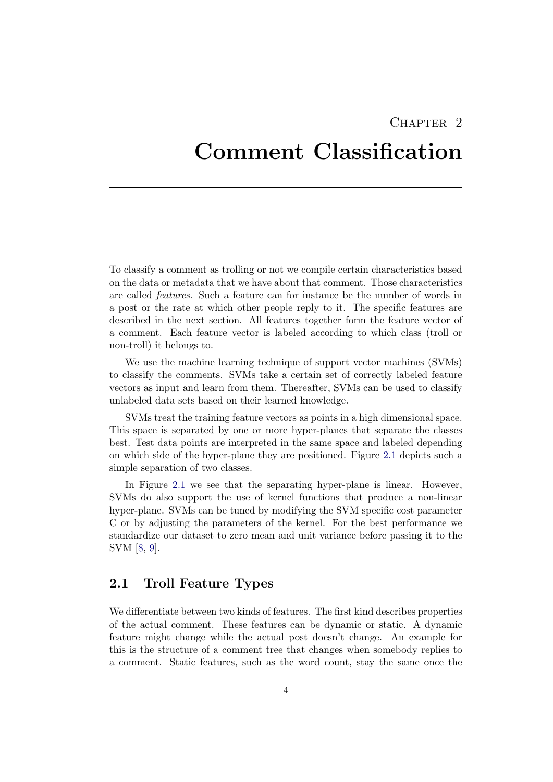## CHAPTER<sub>2</sub>

## <span id="page-7-0"></span>Comment Classification

To classify a comment as trolling or not we compile certain characteristics based on the data or metadata that we have about that comment. Those characteristics are called features. Such a feature can for instance be the number of words in a post or the rate at which other people reply to it. The specific features are described in the next section. All features together form the feature vector of a comment. Each feature vector is labeled according to which class (troll or non-troll) it belongs to.

We use the machine learning technique of support vector machines (SVMs) to classify the comments. SVMs take a certain set of correctly labeled feature vectors as input and learn from them. Thereafter, SVMs can be used to classify unlabeled data sets based on their learned knowledge.

SVMs treat the training feature vectors as points in a high dimensional space. This space is separated by one or more hyper-planes that separate the classes best. Test data points are interpreted in the same space and labeled depending on which side of the hyper-plane they are positioned. Figure [2.1](#page-8-1) depicts such a simple separation of two classes.

In Figure [2.1](#page-8-1) we see that the separating hyper-plane is linear. However, SVMs do also support the use of kernel functions that produce a non-linear hyper-plane. SVMs can be tuned by modifying the SVM specific cost parameter C or by adjusting the parameters of the kernel. For the best performance we standardize our dataset to zero mean and unit variance before passing it to the SVM [\[8,](#page-17-8) [9\]](#page-17-9).

### <span id="page-7-1"></span>2.1 Troll Feature Types

We differentiate between two kinds of features. The first kind describes properties of the actual comment. These features can be dynamic or static. A dynamic feature might change while the actual post doesn't change. An example for this is the structure of a comment tree that changes when somebody replies to a comment. Static features, such as the word count, stay the same once the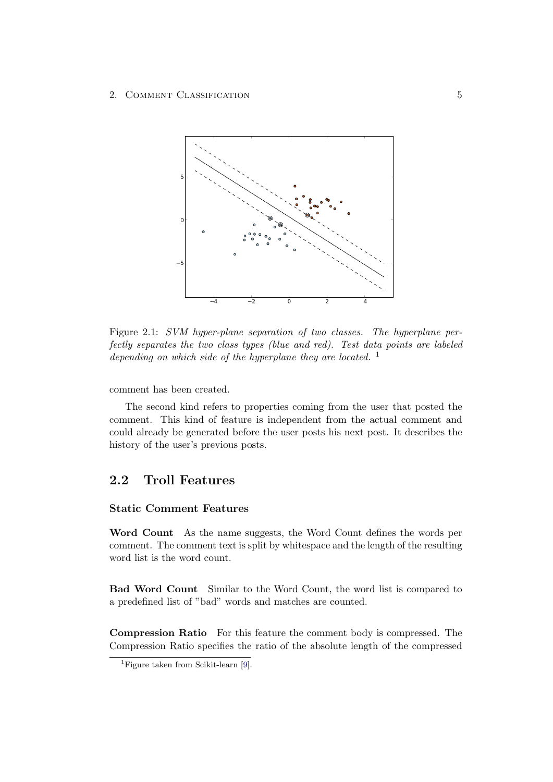<span id="page-8-1"></span>

Figure 2.1: SVM hyper-plane separation of two classes. The hyperplane perfectly separates the two class types (blue and red). Test data points are labeled depending on which side of the hyperplane they are located.  $<sup>1</sup>$ </sup>

comment has been created.

The second kind refers to properties coming from the user that posted the comment. This kind of feature is independent from the actual comment and could already be generated before the user posts his next post. It describes the history of the user's previous posts.

## <span id="page-8-0"></span>2.2 Troll Features

#### Static Comment Features

Word Count As the name suggests, the Word Count defines the words per comment. The comment text is split by whitespace and the length of the resulting word list is the word count.

Bad Word Count Similar to the Word Count, the word list is compared to a predefined list of "bad" words and matches are counted.

Compression Ratio For this feature the comment body is compressed. The Compression Ratio specifies the ratio of the absolute length of the compressed

<sup>&</sup>lt;sup>1</sup>Figure taken from Scikit-learn  $[9]$ .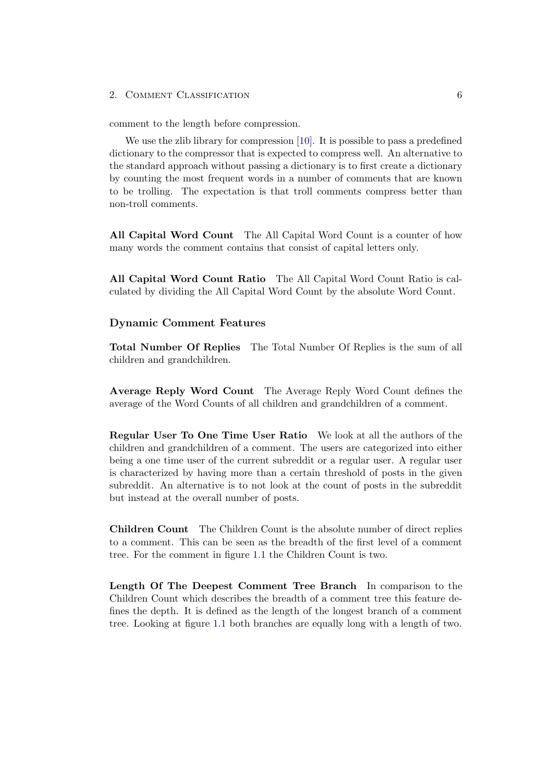#### 2. COMMENT CLASSIFICATION 6

comment to the length before compression.

We use the zlib library for compression [\[10\]](#page-17-10). It is possible to pass a predefined dictionary to the compressor that is expected to compress well. An alternative to the standard approach without passing a dictionary is to first create a dictionary by counting the most frequent words in a number of comments that are known to be trolling. The expectation is that troll comments compress better than non-troll comments.

All Capital Word Count The All Capital Word Count is a counter of how many words the comment contains that consist of capital letters only.

All Capital Word Count Ratio The All Capital Word Count Ratio is calculated by dividing the All Capital Word Count by the absolute Word Count.

#### Dynamic Comment Features

Total Number Of Replies The Total Number Of Replies is the sum of all children and grandchildren.

Average Reply Word Count The Average Reply Word Count defines the average of the Word Counts of all children and grandchildren of a comment.

Regular User To One Time User Ratio We look at all the authors of the children and grandchildren of a comment. The users are categorized into either being a one time user of the current subreddit or a regular user. A regular user is characterized by having more than a certain threshold of posts in the given subreddit. An alternative is to not look at the count of posts in the subreddit but instead at the overall number of posts.

Children Count The Children Count is the absolute number of direct replies to a comment. This can be seen as the breadth of the first level of a comment tree. For the comment in figure [1.1](#page-6-0) the Children Count is two.

Length Of The Deepest Comment Tree Branch In comparison to the Children Count which describes the breadth of a comment tree this feature defines the depth. It is defined as the length of the longest branch of a comment tree. Looking at figure [1.1](#page-6-0) both branches are equally long with a length of two.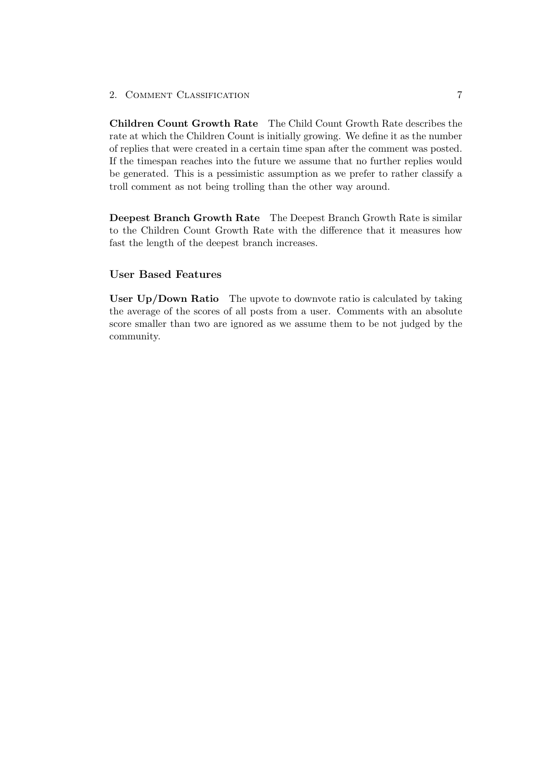2. COMMENT CLASSIFICATION 7

Children Count Growth Rate The Child Count Growth Rate describes the rate at which the Children Count is initially growing. We define it as the number of replies that were created in a certain time span after the comment was posted. If the timespan reaches into the future we assume that no further replies would be generated. This is a pessimistic assumption as we prefer to rather classify a troll comment as not being trolling than the other way around.

Deepest Branch Growth Rate The Deepest Branch Growth Rate is similar to the Children Count Growth Rate with the difference that it measures how fast the length of the deepest branch increases.

#### User Based Features

User Up/Down Ratio The upvote to downvote ratio is calculated by taking the average of the scores of all posts from a user. Comments with an absolute score smaller than two are ignored as we assume them to be not judged by the community.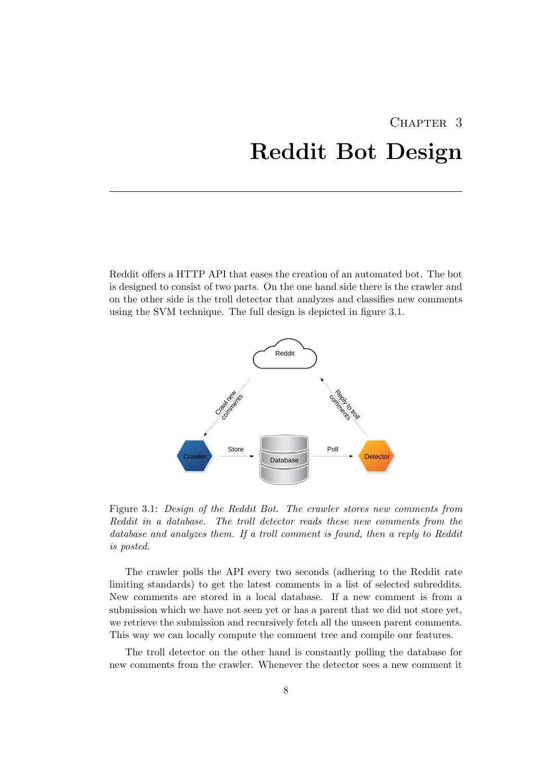# <span id="page-11-0"></span>CHAPTER 3 Reddit Bot Design

<span id="page-11-1"></span>Reddit offers a HTTP API that eases the creation of an automated bot. The bot is designed to consist of two parts. On the one hand side there is the crawler and on the other side is the troll detector that analyzes and classifies new comments using the SVM technique. The full design is depicted in figure [3.1.](#page-11-1)



Figure 3.1: Design of the Reddit Bot. The crawler stores new comments from Reddit in a database. The troll detector reads these new comments from the database and analyzes them. If a troll comment is found, then a reply to Reddit is posted.

The crawler polls the API every two seconds (adhering to the Reddit rate limiting standards) to get the latest comments in a list of selected subreddits. New comments are stored in a local database. If a new comment is from a submission which we have not seen yet or has a parent that we did not store yet, we retrieve the submission and recursively fetch all the unseen parent comments. This way we can locally compute the comment tree and compile our features.

The troll detector on the other hand is constantly polling the database for new comments from the crawler. Whenever the detector sees a new comment it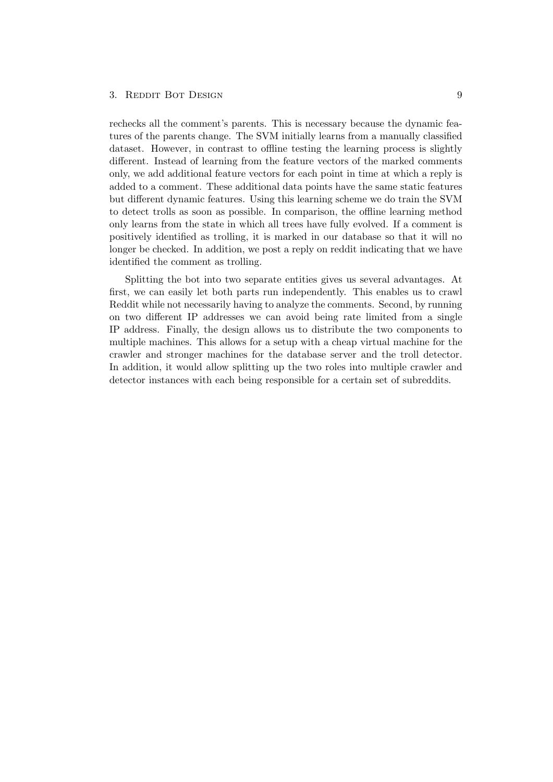#### 3. REDDIT BOT DESIGN 9

rechecks all the comment's parents. This is necessary because the dynamic features of the parents change. The SVM initially learns from a manually classified dataset. However, in contrast to offline testing the learning process is slightly different. Instead of learning from the feature vectors of the marked comments only, we add additional feature vectors for each point in time at which a reply is added to a comment. These additional data points have the same static features but different dynamic features. Using this learning scheme we do train the SVM to detect trolls as soon as possible. In comparison, the offline learning method only learns from the state in which all trees have fully evolved. If a comment is positively identified as trolling, it is marked in our database so that it will no longer be checked. In addition, we post a reply on reddit indicating that we have identified the comment as trolling.

Splitting the bot into two separate entities gives us several advantages. At first, we can easily let both parts run independently. This enables us to crawl Reddit while not necessarily having to analyze the comments. Second, by running on two different IP addresses we can avoid being rate limited from a single IP address. Finally, the design allows us to distribute the two components to multiple machines. This allows for a setup with a cheap virtual machine for the crawler and stronger machines for the database server and the troll detector. In addition, it would allow splitting up the two roles into multiple crawler and detector instances with each being responsible for a certain set of subreddits.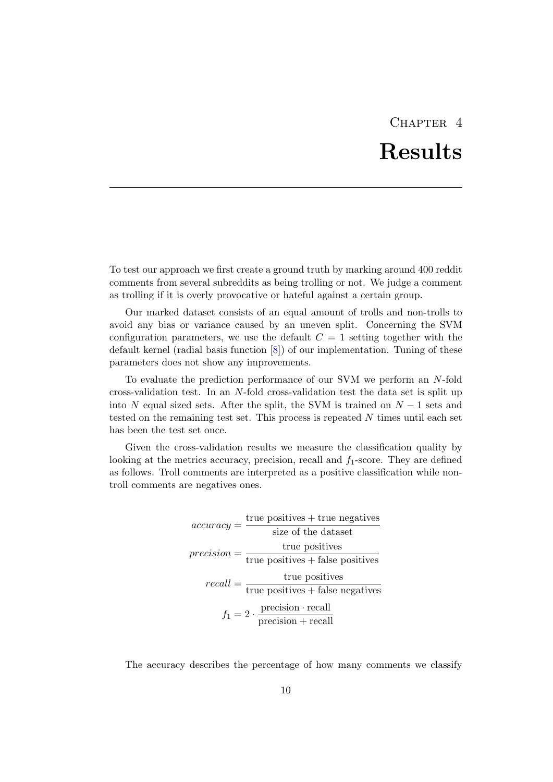# CHAPTER<sub>4</sub> Results

<span id="page-13-0"></span>To test our approach we first create a ground truth by marking around 400 reddit comments from several subreddits as being trolling or not. We judge a comment as trolling if it is overly provocative or hateful against a certain group.

Our marked dataset consists of an equal amount of trolls and non-trolls to avoid any bias or variance caused by an uneven split. Concerning the SVM configuration parameters, we use the default  $C = 1$  setting together with the default kernel (radial basis function [\[8\]](#page-17-8)) of our implementation. Tuning of these parameters does not show any improvements.

To evaluate the prediction performance of our SVM we perform an N-fold cross-validation test. In an N-fold cross-validation test the data set is split up into N equal sized sets. After the split, the SVM is trained on  $N-1$  sets and tested on the remaining test set. This process is repeated  $N$  times until each set has been the test set once.

Given the cross-validation results we measure the classification quality by looking at the metrics accuracy, precision, recall and  $f_1$ -score. They are defined as follows. Troll comments are interpreted as a positive classification while nontroll comments are negatives ones.

> $accuracy = \frac{\text{true positives} + \text{true negatives}}{\text{true otherwise}}$ size of the dataset  $precision = \frac{\text{true positives}}{\text{true loss}}$ true positives + false positives  $recall = \frac{\text{true positives}}{\text{true positives}}$ true positives + false negatives  $f_1 = 2 \cdot \frac{\text{precision} \cdot \text{recall}}{\text{precision} + \text{recall}}$ precision + recall

The accuracy describes the percentage of how many comments we classify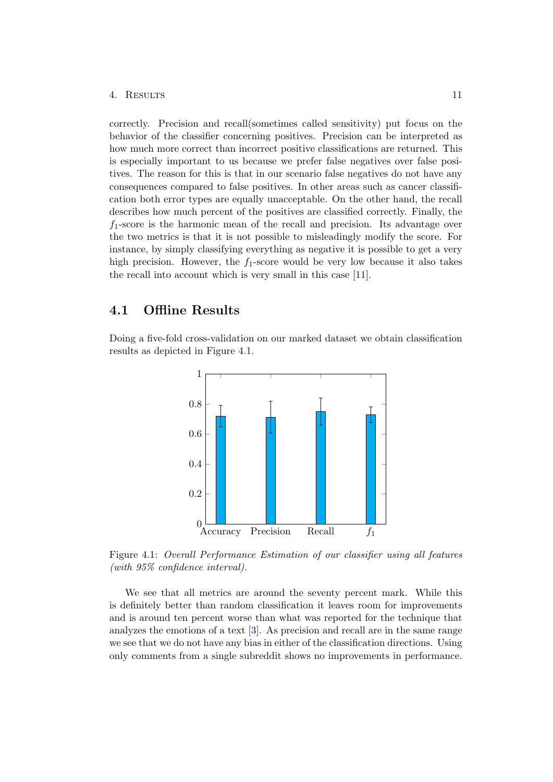#### 4. Results 11

correctly. Precision and recall(sometimes called sensitivity) put focus on the behavior of the classifier concerning positives. Precision can be interpreted as how much more correct than incorrect positive classifications are returned. This is especially important to us because we prefer false negatives over false positives. The reason for this is that in our scenario false negatives do not have any consequences compared to false positives. In other areas such as cancer classification both error types are equally unacceptable. On the other hand, the recall describes how much percent of the positives are classified correctly. Finally, the  $f_1$ -score is the harmonic mean of the recall and precision. Its advantage over the two metrics is that it is not possible to misleadingly modify the score. For instance, by simply classifying everything as negative it is possible to get a very high precision. However, the  $f_1$ -score would be very low because it also takes the recall into account which is very small in this case [\[11\]](#page-17-11).

## <span id="page-14-0"></span>4.1 Offline Results

<span id="page-14-1"></span>Doing a five-fold cross-validation on our marked dataset we obtain classification results as depicted in Figure [4.1.](#page-14-1)



Figure 4.1: Overall Performance Estimation of our classifier using all features (with 95% confidence interval).

We see that all metrics are around the seventy percent mark. While this is definitely better than random classification it leaves room for improvements and is around ten percent worse than what was reported for the technique that analyzes the emotions of a text [\[3\]](#page-17-3). As precision and recall are in the same range we see that we do not have any bias in either of the classification directions. Using only comments from a single subreddit shows no improvements in performance.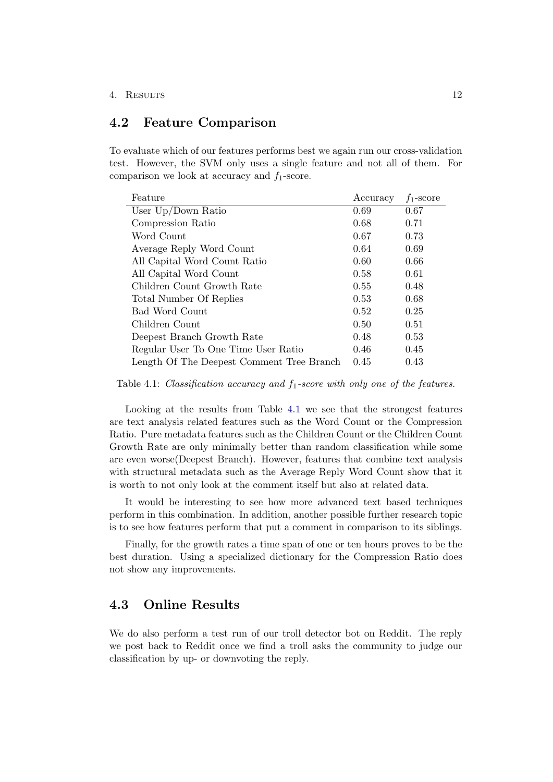### <span id="page-15-0"></span>4.2 Feature Comparison

To evaluate which of our features performs best we again run our cross-validation test. However, the SVM only uses a single feature and not all of them. For comparison we look at accuracy and  $f_1$ -score.

<span id="page-15-2"></span>

| Feature                                   | Accuracy | $f_1$ -score |
|-------------------------------------------|----------|--------------|
| User $Up/Down$ Ratio                      | 0.69     | 0.67         |
| Compression Ratio                         | 0.68     | 0.71         |
| Word Count                                | 0.67     | 0.73         |
| Average Reply Word Count                  | 0.64     | 0.69         |
| All Capital Word Count Ratio              | 0.60     | 0.66         |
| All Capital Word Count                    | 0.58     | 0.61         |
| Children Count Growth Rate                | 0.55     | 0.48         |
| Total Number Of Replies                   | 0.53     | 0.68         |
| Bad Word Count                            | 0.52     | 0.25         |
| Children Count                            | 0.50     | 0.51         |
| Deepest Branch Growth Rate                | 0.48     | 0.53         |
| Regular User To One Time User Ratio       | 0.46     | 0.45         |
| Length Of The Deepest Comment Tree Branch | 0.45     | 0.43         |

Table 4.1: Classification accuracy and  $f_1$ -score with only one of the features.

Looking at the results from Table [4.1](#page-15-2) we see that the strongest features are text analysis related features such as the Word Count or the Compression Ratio. Pure metadata features such as the Children Count or the Children Count Growth Rate are only minimally better than random classification while some are even worse(Deepest Branch). However, features that combine text analysis with structural metadata such as the Average Reply Word Count show that it is worth to not only look at the comment itself but also at related data.

It would be interesting to see how more advanced text based techniques perform in this combination. In addition, another possible further research topic is to see how features perform that put a comment in comparison to its siblings.

Finally, for the growth rates a time span of one or ten hours proves to be the best duration. Using a specialized dictionary for the Compression Ratio does not show any improvements.

## <span id="page-15-1"></span>4.3 Online Results

We do also perform a test run of our troll detector bot on Reddit. The reply we post back to Reddit once we find a troll asks the community to judge our classification by up- or downvoting the reply.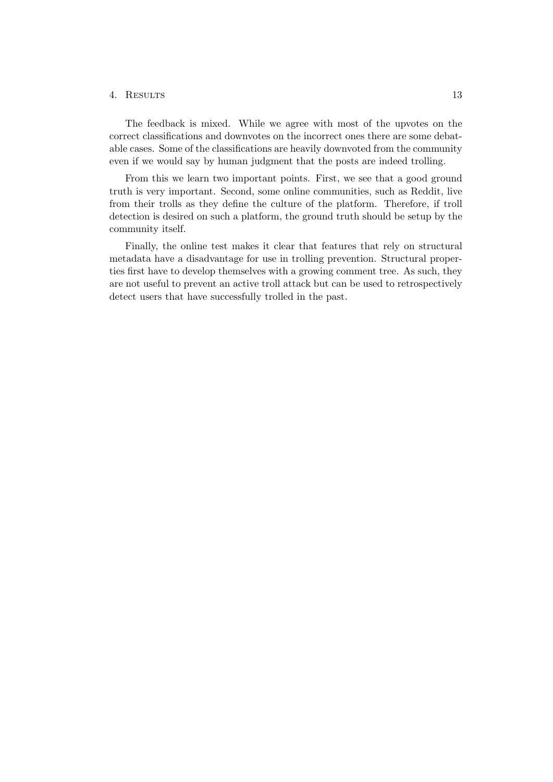#### 4. Results 13

The feedback is mixed. While we agree with most of the upvotes on the correct classifications and downvotes on the incorrect ones there are some debatable cases. Some of the classifications are heavily downvoted from the community even if we would say by human judgment that the posts are indeed trolling.

From this we learn two important points. First, we see that a good ground truth is very important. Second, some online communities, such as Reddit, live from their trolls as they define the culture of the platform. Therefore, if troll detection is desired on such a platform, the ground truth should be setup by the community itself.

Finally, the online test makes it clear that features that rely on structural metadata have a disadvantage for use in trolling prevention. Structural properties first have to develop themselves with a growing comment tree. As such, they are not useful to prevent an active troll attack but can be used to retrospectively detect users that have successfully trolled in the past.